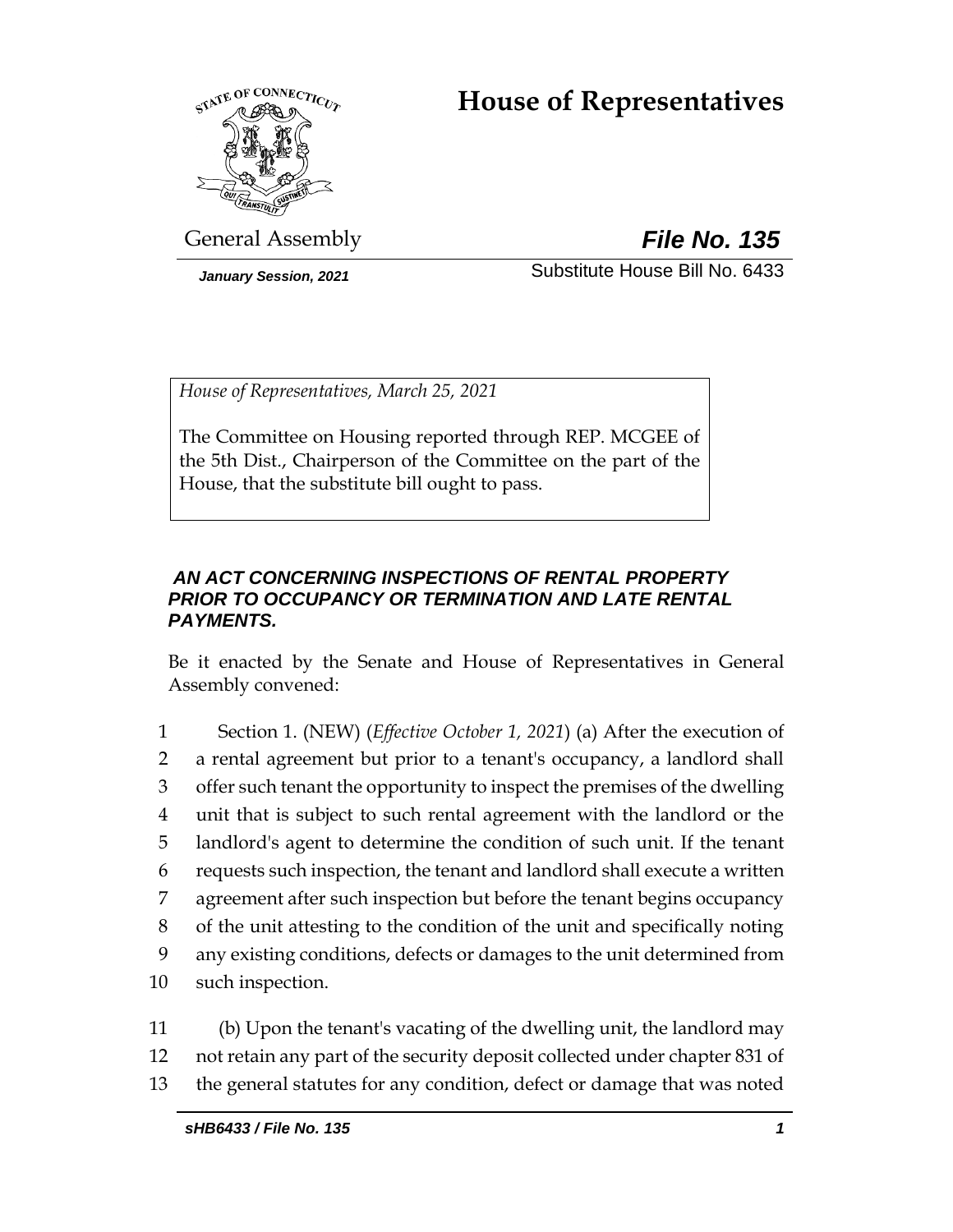# **House of Representatives**



General Assembly *File No. 135*

*January Session, 2021* Substitute House Bill No. 6433

*House of Representatives, March 25, 2021*

The Committee on Housing reported through REP. MCGEE of the 5th Dist., Chairperson of the Committee on the part of the House, that the substitute bill ought to pass.

# *AN ACT CONCERNING INSPECTIONS OF RENTAL PROPERTY PRIOR TO OCCUPANCY OR TERMINATION AND LATE RENTAL PAYMENTS.*

Be it enacted by the Senate and House of Representatives in General Assembly convened:

 Section 1. (NEW) (*Effective October 1, 2021*) (a) After the execution of a rental agreement but prior to a tenant's occupancy, a landlord shall offer such tenant the opportunity to inspect the premises of the dwelling unit that is subject to such rental agreement with the landlord or the landlord's agent to determine the condition of such unit. If the tenant requests such inspection, the tenant and landlord shall execute a written agreement after such inspection but before the tenant begins occupancy of the unit attesting to the condition of the unit and specifically noting any existing conditions, defects or damages to the unit determined from such inspection.

11 (b) Upon the tenant's vacating of the dwelling unit, the landlord may 12 not retain any part of the security deposit collected under chapter 831 of 13 the general statutes for any condition, defect or damage that was noted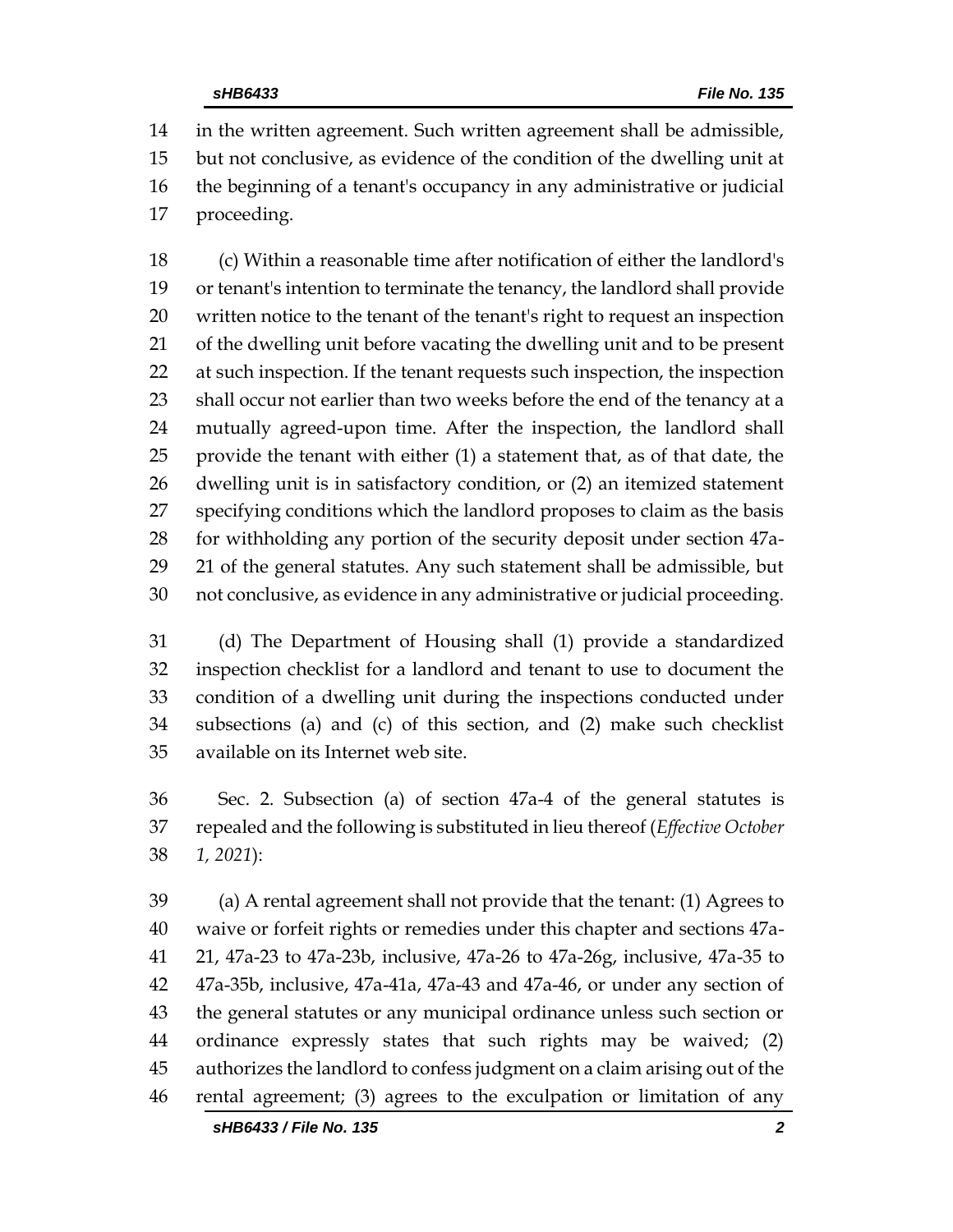in the written agreement. Such written agreement shall be admissible, but not conclusive, as evidence of the condition of the dwelling unit at the beginning of a tenant's occupancy in any administrative or judicial proceeding.

 (c) Within a reasonable time after notification of either the landlord's or tenant's intention to terminate the tenancy, the landlord shall provide written notice to the tenant of the tenant's right to request an inspection of the dwelling unit before vacating the dwelling unit and to be present at such inspection. If the tenant requests such inspection, the inspection 23 shall occur not earlier than two weeks before the end of the tenancy at a mutually agreed-upon time. After the inspection, the landlord shall provide the tenant with either (1) a statement that, as of that date, the dwelling unit is in satisfactory condition, or (2) an itemized statement specifying conditions which the landlord proposes to claim as the basis for withholding any portion of the security deposit under section 47a- 21 of the general statutes. Any such statement shall be admissible, but not conclusive, as evidence in any administrative or judicial proceeding.

 (d) The Department of Housing shall (1) provide a standardized inspection checklist for a landlord and tenant to use to document the condition of a dwelling unit during the inspections conducted under subsections (a) and (c) of this section, and (2) make such checklist available on its Internet web site.

 Sec. 2. Subsection (a) of section 47a-4 of the general statutes is repealed and the following is substituted in lieu thereof (*Effective October 1, 2021*):

 (a) A rental agreement shall not provide that the tenant: (1) Agrees to waive or forfeit rights or remedies under this chapter and sections 47a- 21, 47a-23 to 47a-23b, inclusive, 47a-26 to 47a-26g, inclusive, 47a-35 to 47a-35b, inclusive, 47a-41a, 47a-43 and 47a-46, or under any section of the general statutes or any municipal ordinance unless such section or ordinance expressly states that such rights may be waived; (2) authorizes the landlord to confess judgment on a claim arising out of the rental agreement; (3) agrees to the exculpation or limitation of any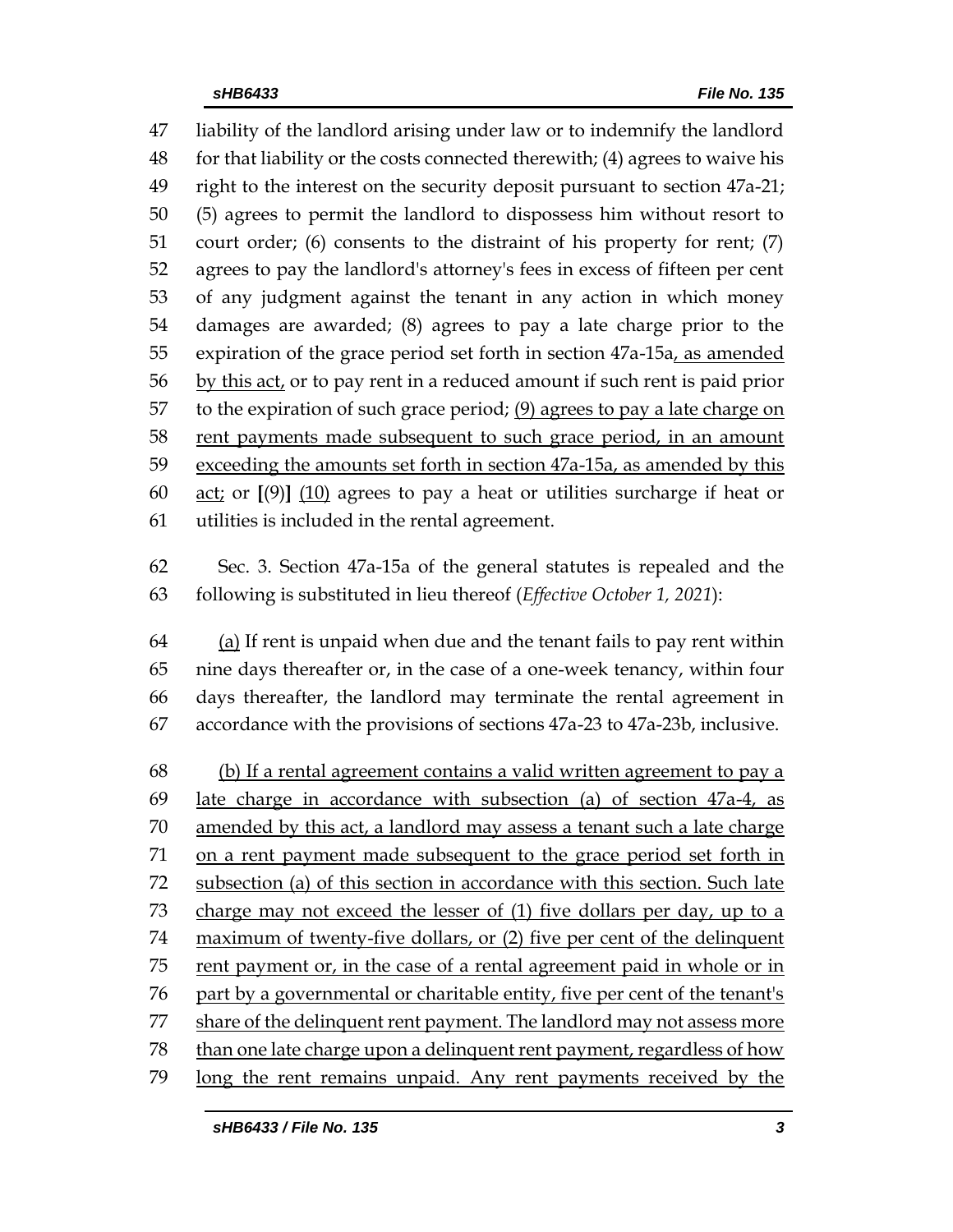liability of the landlord arising under law or to indemnify the landlord for that liability or the costs connected therewith; (4) agrees to waive his right to the interest on the security deposit pursuant to section 47a-21; (5) agrees to permit the landlord to dispossess him without resort to court order; (6) consents to the distraint of his property for rent; (7) agrees to pay the landlord's attorney's fees in excess of fifteen per cent of any judgment against the tenant in any action in which money damages are awarded; (8) agrees to pay a late charge prior to the expiration of the grace period set forth in section 47a-15a, as amended by this act, or to pay rent in a reduced amount if such rent is paid prior 57 to the expiration of such grace period;  $(9)$  agrees to pay a late charge on rent payments made subsequent to such grace period, in an amount exceeding the amounts set forth in section 47a-15a, as amended by this act; or **[**(9)**]** (10) agrees to pay a heat or utilities surcharge if heat or utilities is included in the rental agreement.

 Sec. 3. Section 47a-15a of the general statutes is repealed and the following is substituted in lieu thereof (*Effective October 1, 2021*):

 (a) If rent is unpaid when due and the tenant fails to pay rent within nine days thereafter or, in the case of a one-week tenancy, within four days thereafter, the landlord may terminate the rental agreement in accordance with the provisions of sections 47a-23 to 47a-23b, inclusive.

 (b) If a rental agreement contains a valid written agreement to pay a late charge in accordance with subsection (a) of section 47a-4, as amended by this act, a landlord may assess a tenant such a late charge on a rent payment made subsequent to the grace period set forth in subsection (a) of this section in accordance with this section. Such late charge may not exceed the lesser of (1) five dollars per day, up to a maximum of twenty-five dollars, or (2) five per cent of the delinquent 75 rent payment or, in the case of a rental agreement paid in whole or in part by a governmental or charitable entity, five per cent of the tenant's share of the delinquent rent payment. The landlord may not assess more than one late charge upon a delinquent rent payment, regardless of how long the rent remains unpaid. Any rent payments received by the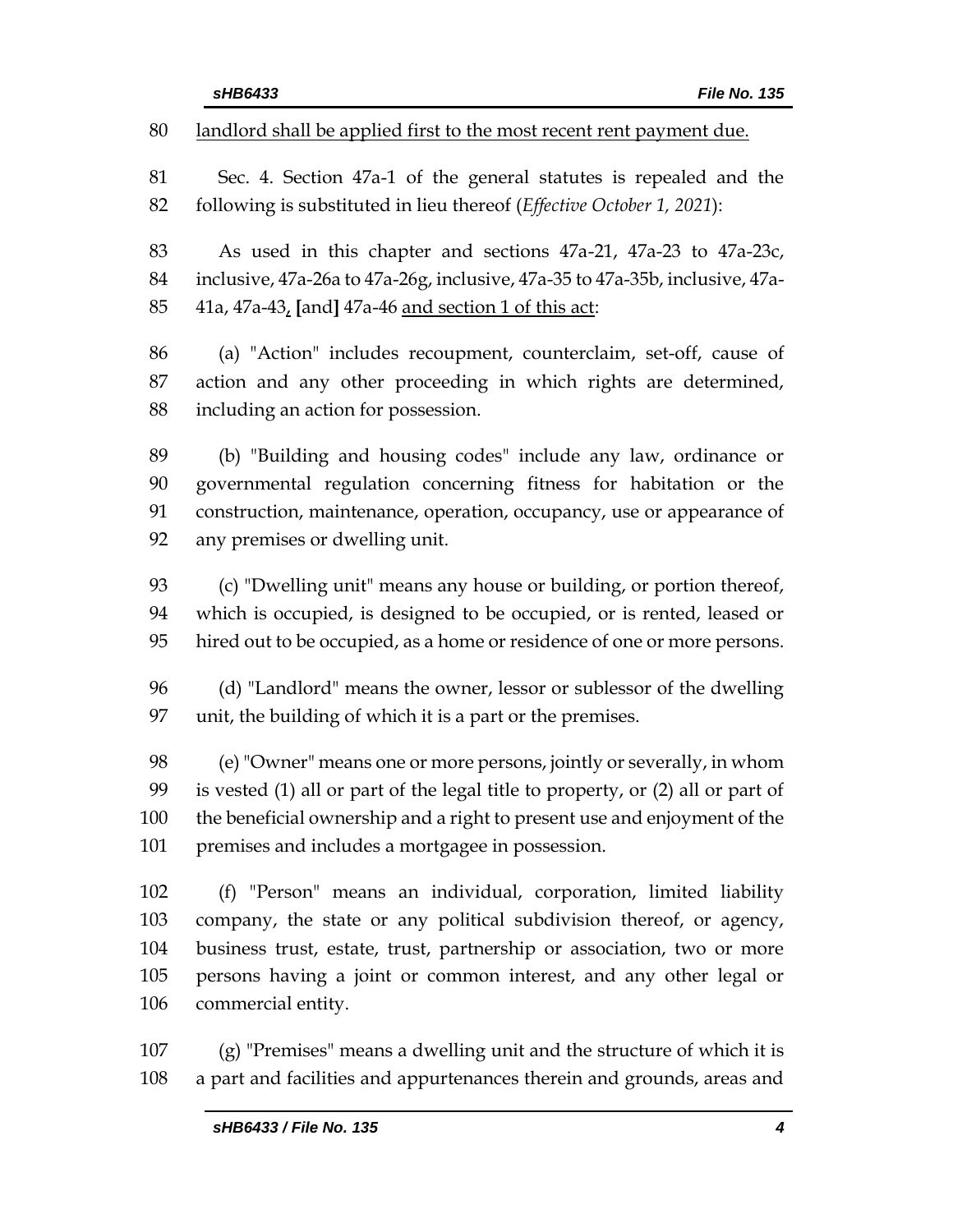landlord shall be applied first to the most recent rent payment due.

 Sec. 4. Section 47a-1 of the general statutes is repealed and the following is substituted in lieu thereof (*Effective October 1, 2021*):

 As used in this chapter and sections 47a-21, 47a-23 to 47a-23c, inclusive, 47a-26a to 47a-26g, inclusive, 47a-35 to 47a-35b, inclusive, 47a-41a, 47a-43, **[**and**]** 47a-46 and section 1 of this act:

 (a) "Action" includes recoupment, counterclaim, set-off, cause of action and any other proceeding in which rights are determined, including an action for possession.

 (b) "Building and housing codes" include any law, ordinance or governmental regulation concerning fitness for habitation or the construction, maintenance, operation, occupancy, use or appearance of any premises or dwelling unit.

 (c) "Dwelling unit" means any house or building, or portion thereof, which is occupied, is designed to be occupied, or is rented, leased or hired out to be occupied, as a home or residence of one or more persons.

 (d) "Landlord" means the owner, lessor or sublessor of the dwelling unit, the building of which it is a part or the premises.

 (e) "Owner" means one or more persons, jointly or severally, in whom is vested (1) all or part of the legal title to property, or (2) all or part of the beneficial ownership and a right to present use and enjoyment of the premises and includes a mortgagee in possession.

 (f) "Person" means an individual, corporation, limited liability company, the state or any political subdivision thereof, or agency, business trust, estate, trust, partnership or association, two or more persons having a joint or common interest, and any other legal or commercial entity.

 (g) "Premises" means a dwelling unit and the structure of which it is a part and facilities and appurtenances therein and grounds, areas and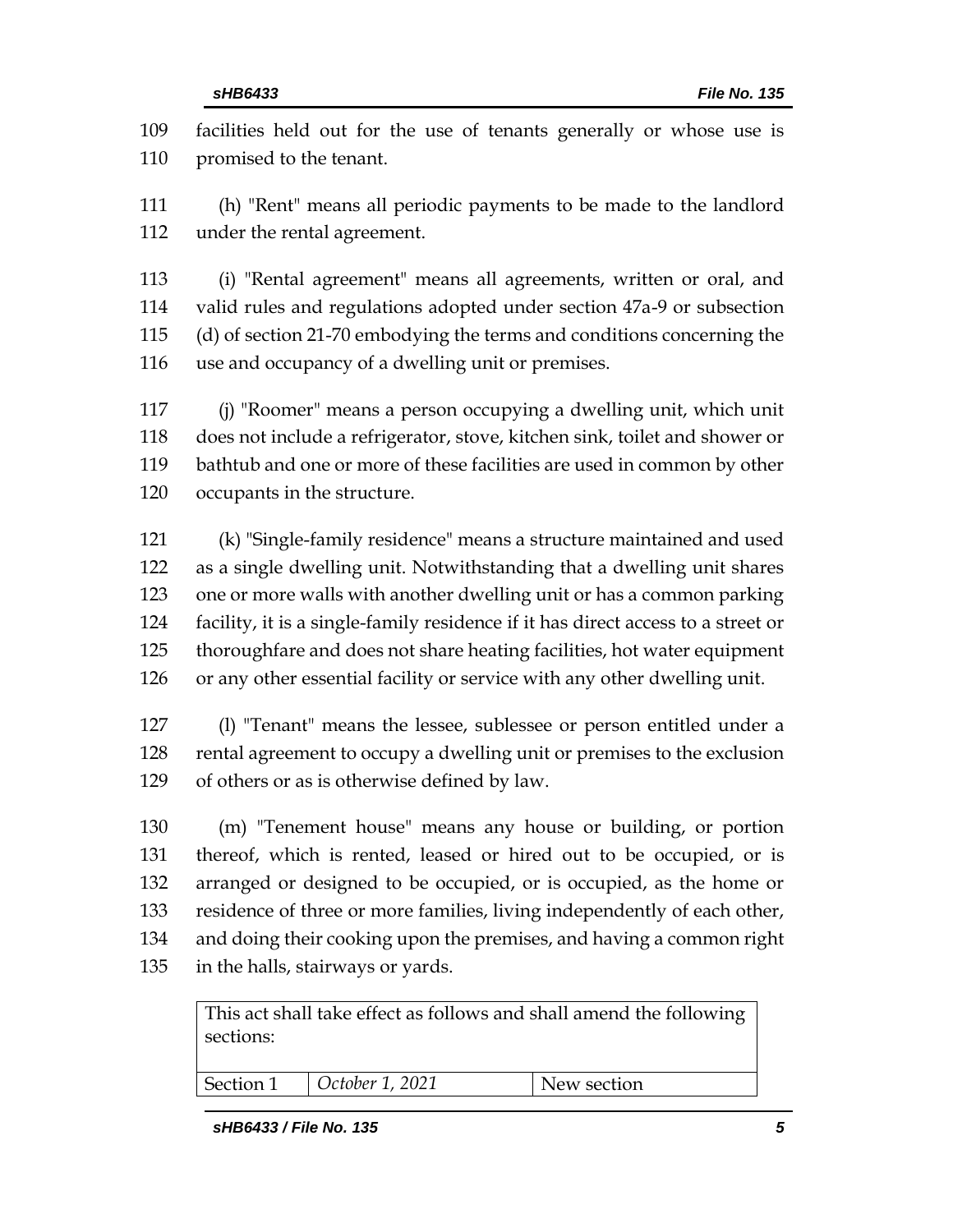facilities held out for the use of tenants generally or whose use is promised to the tenant.

 (h) "Rent" means all periodic payments to be made to the landlord under the rental agreement.

 (i) "Rental agreement" means all agreements, written or oral, and valid rules and regulations adopted under section 47a-9 or subsection (d) of section 21-70 embodying the terms and conditions concerning the use and occupancy of a dwelling unit or premises.

 (j) "Roomer" means a person occupying a dwelling unit, which unit does not include a refrigerator, stove, kitchen sink, toilet and shower or bathtub and one or more of these facilities are used in common by other occupants in the structure.

 (k) "Single-family residence" means a structure maintained and used as a single dwelling unit. Notwithstanding that a dwelling unit shares one or more walls with another dwelling unit or has a common parking facility, it is a single-family residence if it has direct access to a street or thoroughfare and does not share heating facilities, hot water equipment or any other essential facility or service with any other dwelling unit.

 (l) "Tenant" means the lessee, sublessee or person entitled under a rental agreement to occupy a dwelling unit or premises to the exclusion of others or as is otherwise defined by law.

 (m) "Tenement house" means any house or building, or portion thereof, which is rented, leased or hired out to be occupied, or is arranged or designed to be occupied, or is occupied, as the home or residence of three or more families, living independently of each other, and doing their cooking upon the premises, and having a common right in the halls, stairways or yards.

This act shall take effect as follows and shall amend the following sections:

| $\vert$ October 1, 2021<br>Section 1 |
|--------------------------------------|
|--------------------------------------|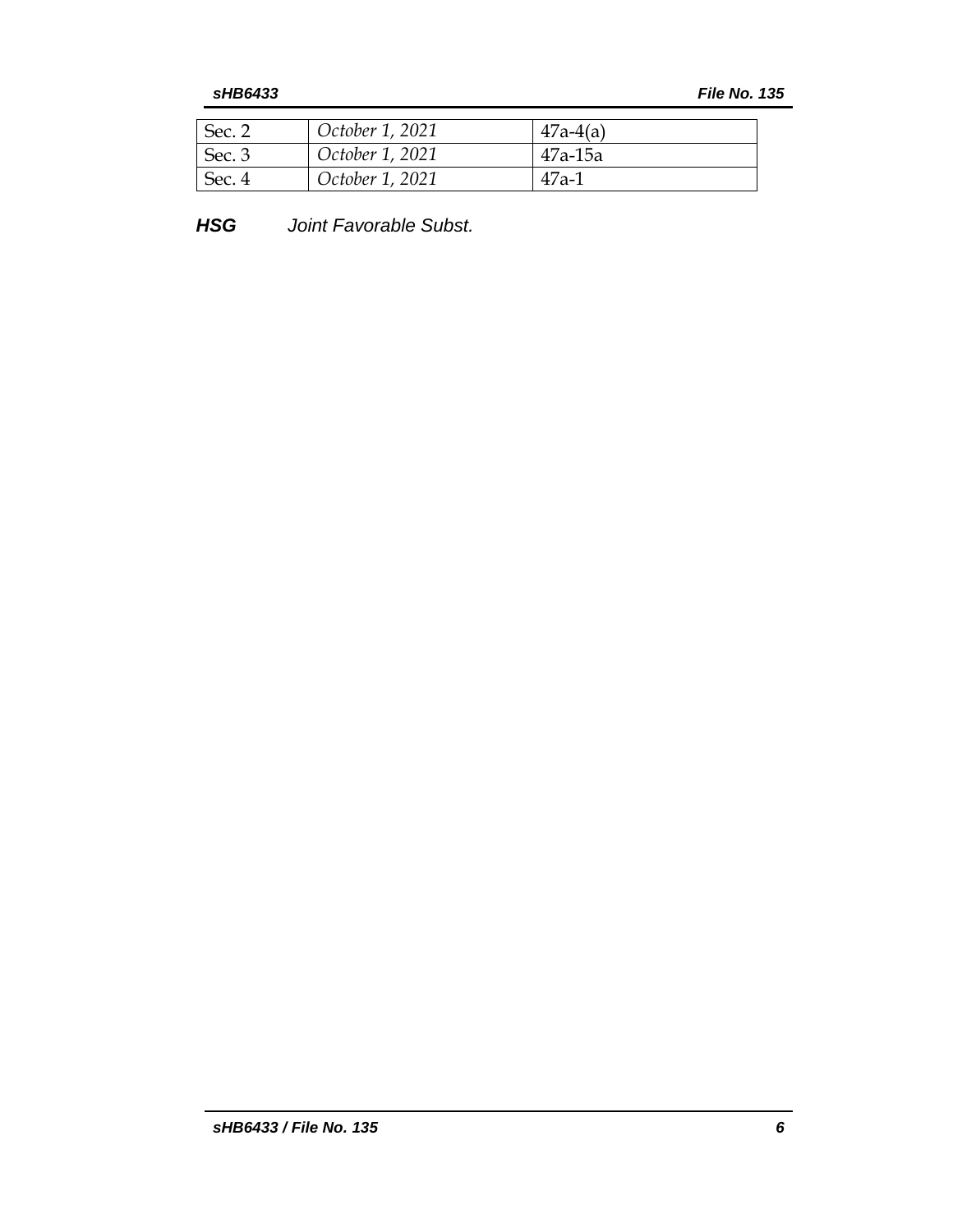| $\mathsf{I}$ Sec. 2 | October 1, 2021 | $47a-4(a)$ |
|---------------------|-----------------|------------|
| Sec.3               | October 1, 2021 | 47a-15a    |
| Sec. $4$            | October 1, 2021 | $47a-1$    |

*HSG Joint Favorable Subst.*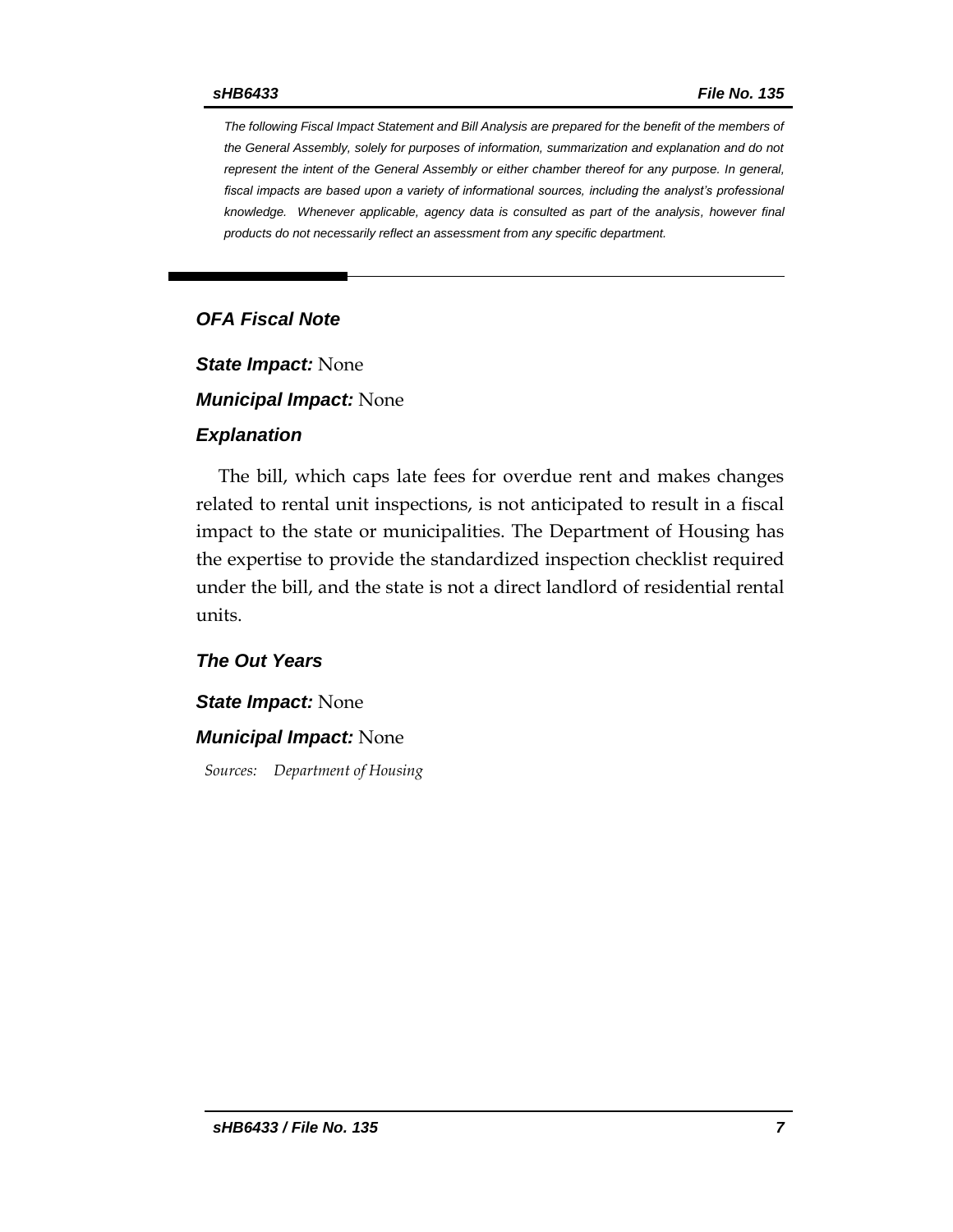*The following Fiscal Impact Statement and Bill Analysis are prepared for the benefit of the members of the General Assembly, solely for purposes of information, summarization and explanation and do not represent the intent of the General Assembly or either chamber thereof for any purpose. In general,*  fiscal impacts are based upon a variety of informational sources, including the analyst's professional *knowledge. Whenever applicable, agency data is consulted as part of the analysis, however final products do not necessarily reflect an assessment from any specific department.*

# *OFA Fiscal Note*

*State Impact:* None

*Municipal Impact:* None

#### *Explanation*

The bill, which caps late fees for overdue rent and makes changes related to rental unit inspections, is not anticipated to result in a fiscal impact to the state or municipalities. The Department of Housing has the expertise to provide the standardized inspection checklist required under the bill, and the state is not a direct landlord of residential rental units.

# *The Out Years*

#### *State Impact:* None

### *Municipal Impact:* None

*Sources: Department of Housing*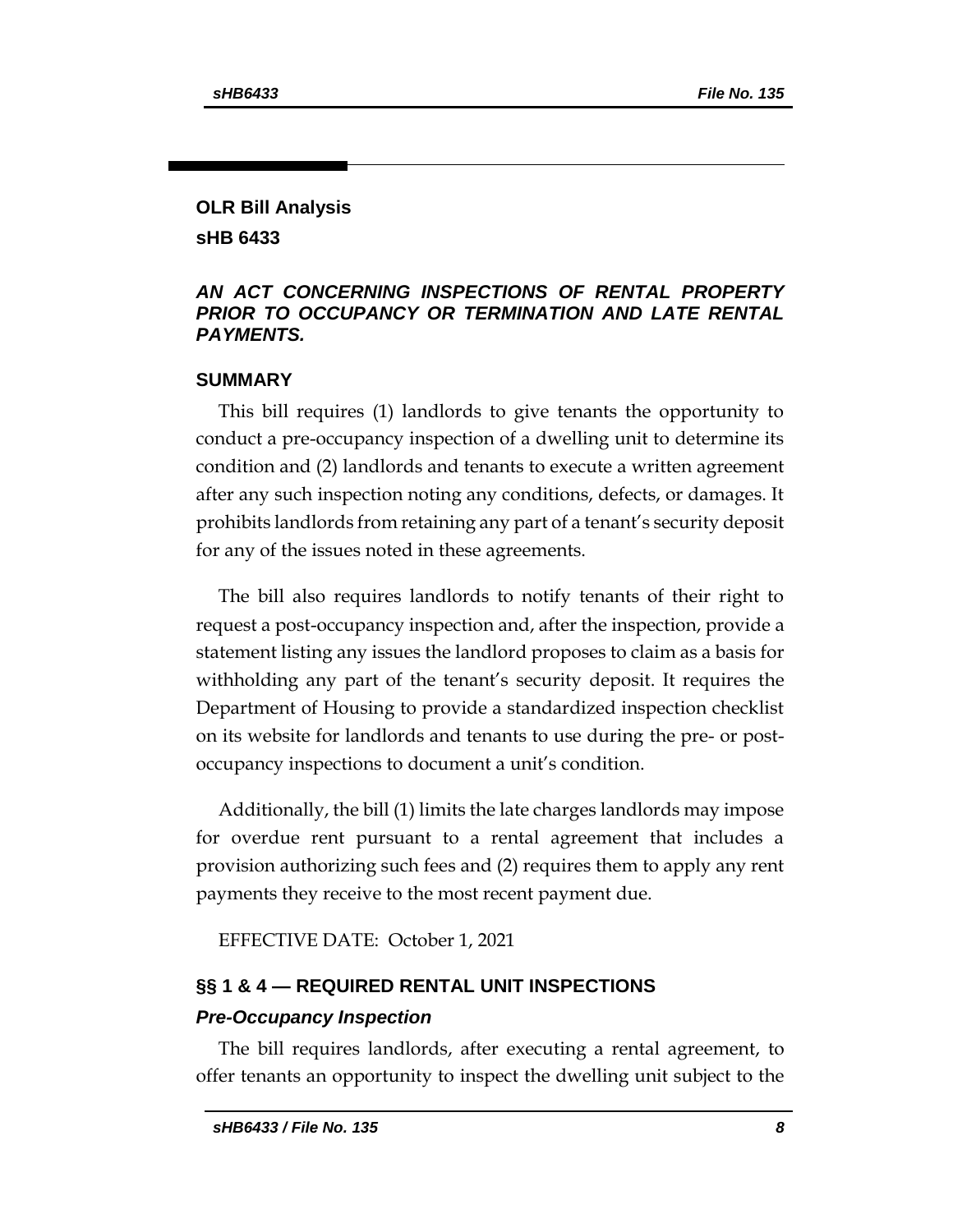# **OLR Bill Analysis sHB 6433**

# *AN ACT CONCERNING INSPECTIONS OF RENTAL PROPERTY PRIOR TO OCCUPANCY OR TERMINATION AND LATE RENTAL PAYMENTS.*

# **SUMMARY**

This bill requires (1) landlords to give tenants the opportunity to conduct a pre-occupancy inspection of a dwelling unit to determine its condition and (2) landlords and tenants to execute a written agreement after any such inspection noting any conditions, defects, or damages. It prohibits landlords from retaining any part of a tenant's security deposit for any of the issues noted in these agreements.

The bill also requires landlords to notify tenants of their right to request a post-occupancy inspection and, after the inspection, provide a statement listing any issues the landlord proposes to claim as a basis for withholding any part of the tenant's security deposit. It requires the Department of Housing to provide a standardized inspection checklist on its website for landlords and tenants to use during the pre- or postoccupancy inspections to document a unit's condition.

Additionally, the bill (1) limits the late charges landlords may impose for overdue rent pursuant to a rental agreement that includes a provision authorizing such fees and (2) requires them to apply any rent payments they receive to the most recent payment due.

EFFECTIVE DATE: October 1, 2021

# **§§ 1 & 4 — REQUIRED RENTAL UNIT INSPECTIONS**  *Pre-Occupancy Inspection*

The bill requires landlords, after executing a rental agreement, to offer tenants an opportunity to inspect the dwelling unit subject to the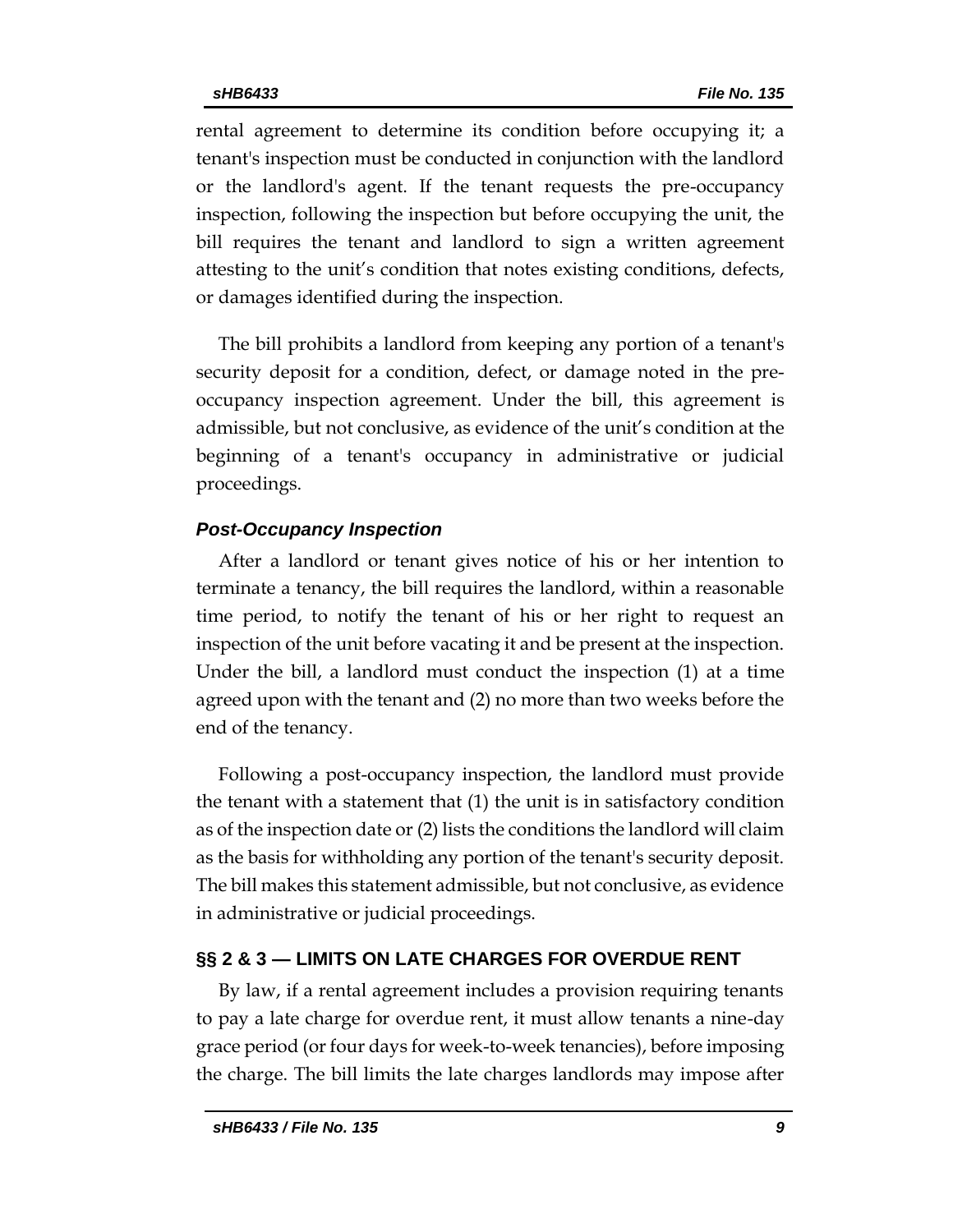rental agreement to determine its condition before occupying it; a tenant's inspection must be conducted in conjunction with the landlord or the landlord's agent. If the tenant requests the pre-occupancy inspection, following the inspection but before occupying the unit, the bill requires the tenant and landlord to sign a written agreement attesting to the unit's condition that notes existing conditions, defects, or damages identified during the inspection.

The bill prohibits a landlord from keeping any portion of a tenant's security deposit for a condition, defect, or damage noted in the preoccupancy inspection agreement. Under the bill, this agreement is admissible, but not conclusive, as evidence of the unit's condition at the beginning of a tenant's occupancy in administrative or judicial proceedings.

# *Post-Occupancy Inspection*

After a landlord or tenant gives notice of his or her intention to terminate a tenancy, the bill requires the landlord, within a reasonable time period, to notify the tenant of his or her right to request an inspection of the unit before vacating it and be present at the inspection. Under the bill, a landlord must conduct the inspection (1) at a time agreed upon with the tenant and (2) no more than two weeks before the end of the tenancy.

Following a post-occupancy inspection, the landlord must provide the tenant with a statement that (1) the unit is in satisfactory condition as of the inspection date or (2) lists the conditions the landlord will claim as the basis for withholding any portion of the tenant's security deposit. The bill makes this statement admissible, but not conclusive, as evidence in administrative or judicial proceedings.

### **§§ 2 & 3 — LIMITS ON LATE CHARGES FOR OVERDUE RENT**

By law, if a rental agreement includes a provision requiring tenants to pay a late charge for overdue rent, it must allow tenants a nine-day grace period (or four days for week-to-week tenancies), before imposing the charge. The bill limits the late charges landlords may impose after